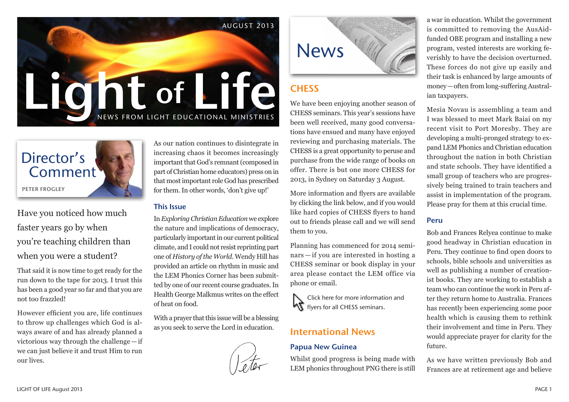



Have you noticed how much faster years go by when you're teaching children than when you were a student?

That said it is now time to get ready for the run down to the tape for 2013. I trust this has been a good year so far and that you are not too frazzled!

However efficient you are, life continues to throw up challenges which God is always aware of and has already planned a victorious way through the challenge — if we can just believe it and trust Him to run our lives.

As our nation continues to disintegrate in increasing chaos it becomes increasingly important that God's remnant (composed in part of Christian home educators) press on in that most important role God has prescribed for them. In other words, 'don't give up!'

# This Issue

In *Exploring Christian Education* we explore the nature and implications of democracy, particularly important in our current political climate, and I could not resist reprinting part one of *History of the World*. Wendy Hill has provided an article on rhythm in music and the LEM Phonics Corner has been submitted by one of our recent course graduates. In Health George Malkmus writes on the effect of heat on food.

With a prayer that this issue will be a blessing as you seek to serve the Lord in education.





# **CHESS**

We have been enjoying another season of CHESS seminars. This year's sessions have been well received, many good conversations have ensued and many have enjoyed reviewing and purchasing materials. The CHESS is a great opportunity to peruse and purchase from the wide range of books on offer. There is but one more CHESS for 2013, in Sydney on Saturday 3 August.

More information and flyers are available by clicking the link below, and if you would like hard copies of CHESS flyers to hand out to friends please call and we will send them to you.

Planning has commenced for 2014 seminars — if you are interested in hosting a CHESS seminar or book display in your area please contact the LEM office via phone or email.



Click here for more information and **KT** flyers for all CHESS seminars.

# International News

# Papua New Guinea

Whilst good progress is being made with LEM phonics throughout PNG there is still a war in education. Whilst the government is committed to removing the AusAidfunded OBE program and installing a new program, vested interests are working feverishly to have the decision overturned. These forces do not give up easily and their task is enhanced by large amounts of money—often from long-suffering Australian taxpayers.

Mesia Novau is assembling a team and I was blessed to meet Mark Baiai on my recent visit to Port Moresby. They are developing a multi-pronged strategy to expand LEM Phonics and Christian education throughout the nation in both Christian and state schools. They have identified a small group of teachers who are progressively being trained to train teachers and assist in implementation of the program. Please pray for them at this crucial time.

# Peru

Bob and Frances Relyea continue to make good headway in Christian education in Peru. They continue to find open doors to schools, bible schools and universities as well as publishing a number of creationist books. They are working to establish a team who can continue the work in Peru after they return home to Australia. Frances has recently been experiencing some poor health which is causing them to rethink their involvement and time in Peru. They would appreciate prayer for clarity for the future.

As we have written previously Bob and Frances are at retirement age and believe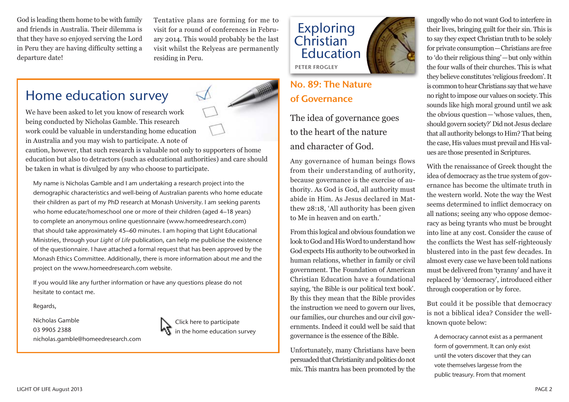God is leading them home to be with family and friends in Australia. Their dilemma is that they have so enjoyed serving the Lord in Peru they are having difficulty setting a departure date!

Tentative plans are forming for me to visit for a round of conferences in February 2014. This would probably be the last visit whilst the Relyeas are permanently residing in Peru.

# Home education survey



We have been asked to let you know of research work being conducted by Nicholas Gamble. This research work could be valuable in understanding home education in Australia and you may wish to participate. A note of

caution, however, that such research is valuable not only to supporters of home education but also to detractors (such as educational authorities) and care should be taken in what is divulged by any who choose to participate.

My name is Nicholas Gamble and I am undertaking a research project into the demographic characteristics and well-being of Australian parents who home educate their children as part of my PhD research at Monash University. I am seeking parents who home educate/homeschool one or more of their children (aged 4–18 years) to complete an anonymous online questionnaire (www.homeedresearch.com) that should take approximately 45–60 minutes. I am hoping that Light Educational Ministries, through your *Light of Life* publication, can help me publicise the existence of the questionnaire. I have attached a formal request that has been approved by the Monash Ethics Committee. Additionally, there is more information about me and the project on the www.homeedresearch.com website.

If you would like any further information or have any questions please do not hesitate to contact me.

Regards,

Nicholas Gamble 03 9905 2388 nicholas.gamble@homeedresearch.com



# Exploring **Christian**  Education PFTFR FROGLEY

# No. 89: The Nature of Governance

The idea of governance goes to the heart of the nature and character of God.

Any governance of human beings flows from their understanding of authority, because governance is the exercise of authority. As God is God, all authority must abide in Him. As Jesus declared in Matthew 28:18, 'All authority has been given to Me in heaven and on earth.'

From this logical and obvious foundation we look to God and His Word to understand how God expects His authority to be outworked in human relations, whether in family or civil government. The Foundation of American Christian Education have a foundational saying, 'the Bible is our political text book'. By this they mean that the Bible provides the instruction we need to govern our lives, our families, our churches and our civil governments. Indeed it could well be said that governance is the essence of the Bible.

Unfortunately, many Christians have been persuaded that Christianity and politics do not mix. This mantra has been promoted by the ungodly who do not want God to interfere in their lives, bringing guilt for their sin. This is to say they expect Christian truth to be solely for private consumption—Christians are free to 'do their religious thing'—but only within the four walls of their churches. This is what they believe constitutes 'religious freedom'. It is common to hear Christians say that we have no right to impose our values on society. This sounds like high moral ground until we ask the obvious question—'whose values, then, should govern society?' Did not Jesus declare that all authority belongs to Him? That being the case, His values must prevail and His values are those presented in Scriptures.

With the renaissance of Greek thought the idea of democracy as the true system of governance has become the ultimate truth in the western world. Note the way the West seems determined to inflict democracy on all nations; seeing any who oppose democracy as being tyrants who must be brought into line at any cost. Consider the cause of the conflicts the West has self-righteously blustered into in the past few decades. In almost every case we have been told nations must be delivered from 'tyranny' and have it replaced by 'democracy', introduced either through cooperation or by force.

But could it be possible that democracy is not a biblical idea? Consider the wellknown quote below:

A democracy cannot exist as a permanent form of government. It can only exist until the voters discover that they can vote themselves largesse from the public treasury. From that moment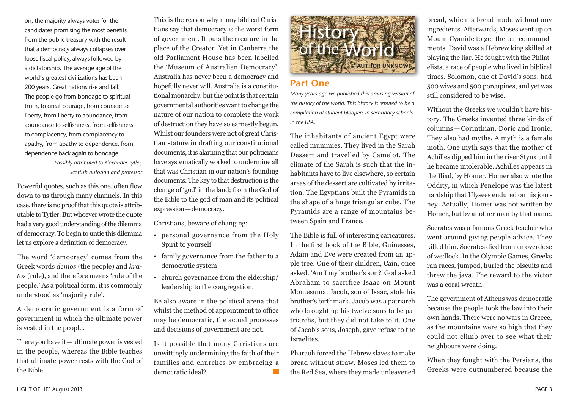on, the majority always votes for the candidates promising the most benefits from the public treasury with the result that a democracy always collapses over loose fiscal policy, always followed by a dictatorship. The average age of the world's greatest civilizations has been 200 years. Great nations rise and fall. The people go from bondage to spiritual truth, to great courage, from courage to liberty, from liberty to abundance, from abundance to selfishness, from selfishness to complacency, from complacency to apathy, from apathy to dependence, from dependence back again to bondage.

> *Possibly attributed to Alexander Tytler, Scottish historian and professor*

Powerful quotes, such as this one, often flow down to us through many channels. In this case, there is no proof that this quote is attributable to Tytler. But whoever wrote the quote had a very good understanding of the dilemma of democracy. To begin to untie this dilemma let us explore a definition of democracy.

The word 'democracy' comes from the Greek words *demos* (the people) and *kratos* (rule), and therefore means 'rule of the people.' As a political form, it is commonly understood as 'majority rule'.

A democratic government is a form of government in which the ultimate power is vested in the people.

There you have it—ultimate power is vested in the people, whereas the Bible teaches that ultimate power rests with the God of the Bible.

This is the reason why many biblical Christians say that democracy is the worst form of government. It puts the creature in the place of the Creator. Yet in Canberra the old Parliament House has been labelled the 'Museum of Australian Democracy'. Australia has never been a democracy and hopefully never will. Australia is a constitutional monarchy, but the point is that certain governmental authorities want to change the nature of our nation to complete the work of destruction they have so earnestly begun. Whilst our founders were not of great Christian stature in drafting our constitutional documents, it is alarming that our politicians have systematically worked to undermine all that was Christian in our nation's founding documents. The key to that destruction is the change of 'god' in the land; from the God of the Bible to the god of man and its political expression—democracy.

Christians, beware of changing:

- personal governance from the Holy Spirit to yourself
- family governance from the father to a democratic system
- church governance from the eldership/ leadership to the congregation.

Be also aware in the political arena that whilst the method of appointment to office may be democratic, the actual processes and decisions of government are not.

Is it possible that many Christians are unwittingly undermining the faith of their families and churches by embracing a democratic ideal?



### Part One

*Many years ago we published this amusing version of the history of the world. This history is reputed to be a compilation of student bloopers in secondary schools in the USA.*

The inhabitants of ancient Egypt were called mummies. They lived in the Sarah Dessert and travelled by Camelot. The climate of the Sarah is such that the inhabitants have to live elsewhere, so certain areas of the dessert are cultivated by irritation. The Egyptians built the Pyramids in the shape of a huge triangular cube. The Pyramids are a range of mountains between Spain and France.

The Bible is full of interesting caricatures. In the first book of the Bible, Guinesses, Adam and Eve were created from an apple tree. One of their children, Cain, once asked, 'Am I my brother's son?' God asked Abraham to sacrifice Isaac on Mount Montesuma. Jacob, son of Isaac, stole his brother's birthmark. Jacob was a patriarch who brought up his twelve sons to be patriarchs, but they did not take to it. One of Jacob's sons, Joseph, gave refuse to the Israelites.

Pharaoh forced the Hebrew slaves to make bread without straw. Moses led them to the Red Sea, where they made unleavened

bread, which is bread made without any ingredients. Afterwards, Moses went up on Mount Cyanide to get the ten commandments. David was a Hebrew king skilled at playing the liar. He fought with the Philatelists, a race of people who lived in biblical times. Solomon, one of David's sons, had 500 wives and 500 porcupines, and yet was still considered to be wise.

Without the Greeks we wouldn't have history. The Greeks invented three kinds of columns — Corinthian, Doric and Ironic. They also had myths. A myth is a female moth. One myth says that the mother of Achilles dipped him in the river Stynx until he became intolerable. Achilles appears in the Iliad, by Homer. Homer also wrote the Oddity, in which Penelope was the latest hardship that Ulysees endured on his journey. Actually, Homer was not written by Homer, but by another man by that name.

Socrates was a famous Greek teacher who went around giving people advice. They killed him. Socrates died from an overdose of wedlock. In the Olympic Games, Greeks ran races, jumped, hurled the biscuits and threw the java. The reward to the victor was a coral wreath.

The government of Athens was democratic because the people took the law into their own hands. There were no wars in Greece, as the mountains were so high that they could not climb over to see what their neighbours were doing.

When they fought with the Persians, the Greeks were outnumbered because the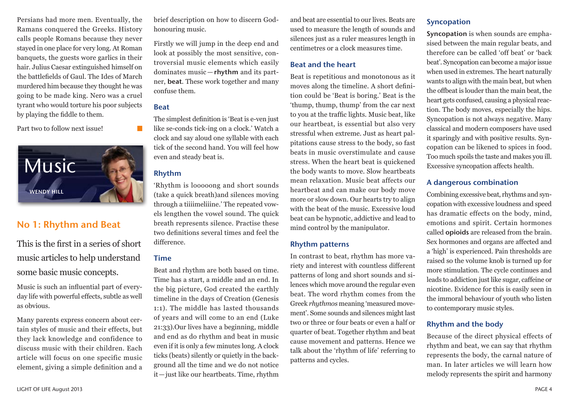Persians had more men. Eventually, the Ramans conquered the Greeks. History calls people Romans because they never stayed in one place for very long. At Roman banquets, the guests wore garlics in their hair. Julius Caesar extinguished himself on the battlefields of Gaul. The Ides of March murdered him because they thought he was going to be made king. Nero was a cruel tyrant who would torture his poor subjects by playing the fiddle to them.

Part two to follow next issue!



# No 1: Rhythm and Beat

This is the first in a series of short music articles to help understand some basic music concepts.

Music is such an influential part of everyday life with powerful effects, subtle as well as obvious.

Many parents express concern about certain styles of music and their effects, but they lack knowledge and confidence to discuss music with their children. Each article will focus on one specific music element, giving a simple definition and a

brief description on how to discern Godhonouring music.

Firstly we will jump in the deep end and look at possibly the most sensitive, controversial music elements which easily dominates music — rhythm and its partner, beat. These work together and many confuse them.

# Beat

**The State** 

The simplest definition is 'Beat is e-ven just like se-conds tick-ing on a clock.' Watch a clock and say aloud one syllable with each tick of the second hand. You will feel how even and steady beat is.

# Rhythm

'Rhythm is looooong and short sounds (take a quick breath)and silences moving through a tiiiimeliiine.' The repeated vowels lengthen the vowel sound. The quick breath represents silence. Practise these two definitions several times and feel the difference.

# Time

Beat and rhythm are both based on time. Time has a start, a middle and an end. In the big picture, God created the earthly timeline in the days of Creation (Genesis 1:1). The middle has lasted thousands of years and will come to an end (Luke 21:33).Our lives have a beginning, middle and end as do rhythm and beat in music even if it is only a few minutes long. A clock ticks (beats) silently or quietly in the background all the time and we do not notice it—just like our heartbeats. Time, rhythm

and beat are essential to our lives. Beats are used to measure the length of sounds and silences just as a ruler measures length in centimetres or a clock measures time.

# Beat and the heart

Beat is repetitious and monotonous as it moves along the timeline. A short definition could be 'Beat is boring.' Beat is the 'thump, thump, thump' from the car next to you at the traffic lights. Music beat, like our heartbeat, is essential but also very stressful when extreme. Just as heart palpitations cause stress to the body, so fast beats in music overstimulate and cause stress. When the heart beat is quickened the body wants to move. Slow heartbeats mean relaxation. Music beat affects our heartbeat and can make our body move more or slow down. Our hearts try to align with the beat of the music. Excessive loud beat can be hypnotic, addictive and lead to mind control by the manipulator.

# Rhythm patterns

In contrast to beat, rhythm has more variety and interest with countless different patterns of long and short sounds and silences which move around the regular even beat. The word rhythm comes from the Greek *rhythmos* meaning 'measured movement'. Some sounds and silences might last two or three or four beats or even a half or quarter of beat. Together rhythm and beat cause movement and patterns. Hence we talk about the 'rhythm of life' referring to patterns and cycles.

# Syncopation

Syncopation is when sounds are emphasised between the main regular beats, and therefore can be called 'off beat' or 'back beat'. Syncopation can become a major issue when used in extremes. The heart naturally wants to align with the main beat, but when the offbeat is louder than the main beat, the heart gets confused, causing a physical reaction. The body moves, especially the hips. Syncopation is not always negative. Many classical and modern composers have used it sparingly and with positive results. Syncopation can be likened to spices in food. Too much spoils the taste and makes you ill. Excessive syncopation affects health.

# A dangerous combination

Combining excessive beat, rhythms and syncopation with excessive loudness and speed has dramatic effects on the body, mind, emotions and spirit. Certain hormones called opioids are released from the brain. Sex hormones and organs are affected and a 'high' is experienced. Pain thresholds are raised so the volume knob is turned up for more stimulation. The cycle continues and leads to addiction just like sugar, caffeine or nicotine. Evidence for this is easily seen in the immoral behaviour of youth who listen to contemporary music styles.

# Rhythm and the body

Because of the direct physical effects of rhythm and beat, we can say that rhythm represents the body, the carnal nature of man. In later articles we will learn how melody represents the spirit and harmony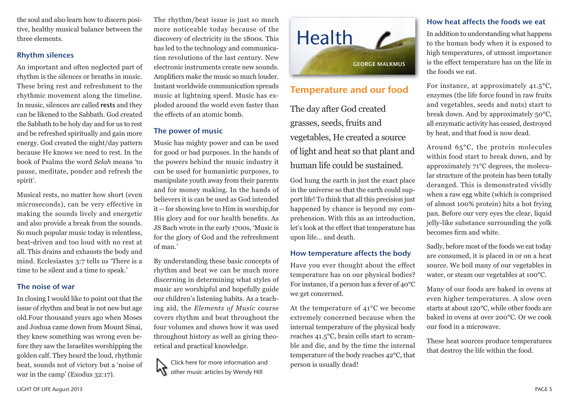the soul and also learn how to discern positive, healthy musical balance between the three elements.

# Rhythm silences

An important and often neglected part of rhythm is the silences or breaths in music. These bring rest and refreshment to the rhythmic movement along the timeline. In music, silences are called rests and they can be likened to the Sabbath. God created the Sabbath to be holy day and for us to rest and be refreshed spiritually and gain more energy. God created the night/day pattern because He knows we need to rest. In the book of Psalms the word *Selah* means 'to pause, meditate, ponder and refresh the spirit'.

Musical rests, no matter how short (even microseconds), can be very effective in making the sounds lively and energetic and also provide a break from the sounds. So much popular music today is relentless, beat-driven and too loud with no rest at all. This drains and exhausts the body and mind. Ecclesiastes 3:7 tells us 'There is a time to be silent and a time to speak.'

#### The noise of war

In closing I would like to point out that the issue of rhythm and beat is not new but age old.Four thousand years ago when Moses and Joshua came down from Mount Sinai, they knew something was wrong even before they saw the Israelites worshipping the golden calf. They heard the loud, rhythmic beat, sounds not of victory but a 'noise of war in the camp' (Exodus 32:17).

The rhythm/beat issue is just so much more noticeable today because of the discovery of electricity in the 1800s. This has led to the technology and communication revolutions of the last century. New electronic instruments create new sounds. Amplifiers make the music so much louder. Instant worldwide communication spreads music at lightning speed. Music has exploded around the world even faster than the effects of an atomic bomb.

### The power of music

Music has mighty power and can be used for good or bad purposes. In the hands of the powers behind the music industry it can be used for humanistic purposes, to manipulate youth away from their parents and for money making. In the hands of believers it is can be used as God intended it—for showing love to Him in worship,for His glory and for our health benefits. As JS Bach wrote in the early 1700s, 'Music is for the glory of God and the refreshment of man.'

By understanding these basic concepts of rhythm and beat we can be much more discerning in determining what styles of music are worshipful and hopefully guide our children's listening habits. As a teaching aid, the *Elements of Music* course covers rhythm and beat throughout the four volumes and shows how it was used throughout history as well as giving theoretical and practical knowledge.

Click here for more information and 7 other music articles by Wendy Hill



# Temperature and our food

The day after God created grasses, seeds, fruits and vegetables, He created a source of light and heat so that plant and human life could be sustained.

God hung the earth in just the exact place in the universe so that the earth could support life! To think that all this precision just happened by chance is beyond my comprehension. With this as an introduction, let's look at the effect that temperature has upon life… and death.

# How temperature affects the body

Have you ever thought about the effect temperature has on our physical bodies? For instance, if a person has a fever of 40°C we get concerned.

At the temperature of 41°C we become extremely concerned because when the internal temperature of the physical body reaches 41.5°C, brain cells start to scramble and die, and by the time the internal temperature of the body reaches 42°C, that person is usually dead!

# How heat affects the foods we eat

In addition to understanding what happens to the human body when it is exposed to high temperatures, of utmost importance is the effect temperature has on the life in the foods we eat.

For instance, at approximately 41.5°C, enzymes (the life force found in raw fruits and vegetables, seeds and nuts) start to break down. And by approximately 50°C, all enzymatic activity has ceased, destroyed by heat, and that food is now dead.

Around 65°C, the protein molecules within food start to break down, and by approximately 71°C degrees, the molecular structure of the protein has been totally deranged. This is demonstrated vividly when a raw egg white (which is comprised of almost 100% protein) hits a hot frying pan. Before our very eyes the clear, liquid jelly-like substance surrounding the yolk becomes firm and white.

Sadly, before most of the foods we eat today are consumed, it is placed in or on a heat source. We boil many of our vegetables in water, or steam our vegetables at 100°C.

Many of our foods are baked in ovens at even higher temperatures. A slow oven starts at about 120°C, while other foods are baked in ovens at over 200°C. Or we cook our food in a microwave.

These heat sources produce temperatures that destroy the life within the food.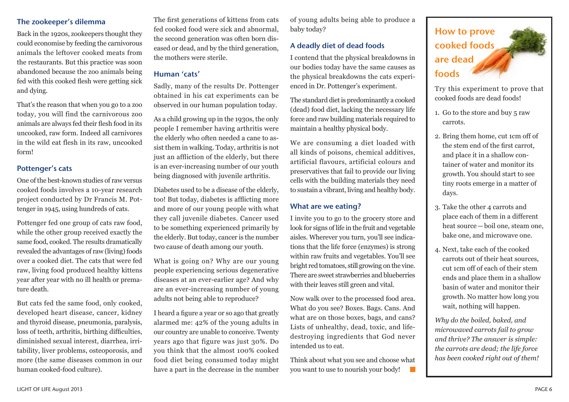#### The zookeeper's dilemma

Back in the 1920s, zookeepers thought they could economise by feeding the carnivorous animals the leftover cooked meats from the restaurants. But this practice was soon abandoned because the zoo animals being fed with this cooked flesh were getting sick and dying.

That's the reason that when you go to a zoo today, you will find the carnivorous zoo animals are always fed their flesh food in its uncooked, raw form. Indeed all carnivores in the wild eat flesh in its raw, uncooked form!

#### Pottenger's cats

One of the best-known studies of raw versus cooked foods involves a 10-year research project conducted by Dr Francis M. Pottenger in 1945, using hundreds of cats.

Pottenger fed one group of cats raw food, while the other group received exactly the same food, cooked. The results dramatically revealed the advantages of raw (living) foods over a cooked diet. The cats that were fed raw, living food produced healthy kittens year after year with no ill health or premature death.

But cats fed the same food, only cooked, developed heart disease, cancer, kidney and thyroid disease, pneumonia, paralysis, loss of teeth, arthritis, birthing difficulties, diminished sexual interest, diarrhea, irritability, liver problems, osteoporosis, and more (the same diseases common in our human cooked-food culture).

The first generations of kittens from cats fed cooked food were sick and abnormal, the second generation was often born diseased or dead, and by the third generation, the mothers were sterile.

#### Human 'cats'

Sadly, many of the results Dr. Pottenger obtained in his cat experiments can be observed in our human population today.

As a child growing up in the 1930s, the only people I remember having arthritis were the elderly who often needed a cane to assist them in walking. Today, arthritis is not just an affliction of the elderly, but there is an ever-increasing number of our youth being diagnosed with juvenile arthritis.

Diabetes used to be a disease of the elderly, too! But today, diabetes is afflicting more and more of our young people with what they call juvenile diabetes. Cancer used to be something experienced primarily by the elderly. But today, cancer is the number two cause of death among our youth.

What is going on? Why are our young people experiencing serious degenerative diseases at an ever-earlier age? And why are an ever-increasing number of young adults not being able to reproduce?

I heard a figure a year or so ago that greatly alarmed me: 42% of the young adults in our country are unable to conceive. Twenty years ago that figure was just 30%. Do you think that the almost 100% cooked food diet being consumed today might have a part in the decrease in the number of young adults being able to produce a baby today?

### A deadly diet of dead foods

I contend that the physical breakdowns in our bodies today have the same causes as the physical breakdowns the cats experienced in Dr. Pottenger's experiment.

The standard diet is predominantly a cooked (dead) food diet, lacking the necessary life force and raw building materials required to maintain a healthy physical body.

We are consuming a diet loaded with all kinds of poisons, chemical additives, artificial flavours, artificial colours and preservatives that fail to provide our living cells with the building materials they need to sustain a vibrant, living and healthy body.

# What are we eating?

I invite you to go to the grocery store and look for signs of life in the fruit and vegetable aisles. Wherever you turn, you'll see indications that the life force (enzymes) is strong within raw fruits and vegetables. You'll see bright red tomatoes, still growing on the vine. There are sweet strawberries and blueberries with their leaves still green and vital.

Now walk over to the processed food area. What do you see? Boxes. Bags. Cans. And what are on those boxes, bags, and cans? Lists of unhealthy, dead, toxic, and lifedestroying ingredients that God never intended us to eat.

Think about what you see and choose what you want to use to nourish your body!



Try this experiment to prove that cooked foods are dead foods!

- 1. Go to the store and buy 5 raw carrots.
- 2. Bring them home, cut 1cm off of the stem end of the first carrot, and place it in a shallow container of water and monitor its growth. You should start to see tiny roots emerge in a matter of days.
- 3. Take the other 4 carrots and place each of them in a different heat source—boil one, steam one, bake one, and microwave one.
- 4. Next, take each of the cooked carrots out of their heat sources, cut 1cm off of each of their stem ends and place them in a shallow basin of water and monitor their growth. No matter how long you wait, nothing will happen.

*Why do the boiled, baked, and microwaved carrots fail to grow and thrive? The answer is simple: the carrots are dead; the life force has been cooked right out of them!*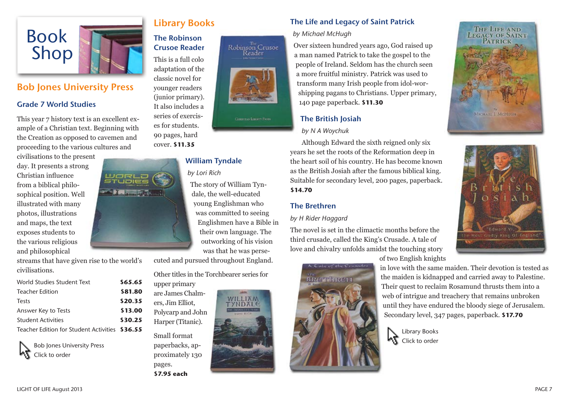

# Bob Jones University Press

### Grade 7 World Studies

This year 7 history text is an excellent example of a Christian text. Beginning with the Creation as opposed to cavemen and proceeding to the various cultures and

civilisations to the present day. It presents a strong Christian influence from a biblical philosophical position. Well illustrated with many photos, illustrations and maps, the text exposes students to the various religious and philosophical

streams that have given rise to the world's civilisations.

| World Studies Student Text                     | \$65.65 |
|------------------------------------------------|---------|
| Teacher Edition                                | \$81.80 |
| Tests                                          | \$20.35 |
| Answer Key to Tests                            | \$13.00 |
| Student Activities                             | \$30.25 |
| Teacher Edition for Student Activities \$36.55 |         |
|                                                |         |

Bob Jones University Press Click to order

# Library Books

The Robinson Crusoe Reader This is a full colour adaptation of the classic novel for younger readers (junior primary). It also includes a series of exercises for students. 90 pages, hard

cover. **\$11.35**

**WORLD** 

 $\sim$   $\sqrt{2}$ 

# William Tyndale

#### *by Lori Rich*

The story of William Tyndale, the well-educated young Englishman who was committed to seeing Englishmen have a Bible in their own language. The outworking of his vision was that he was perse-

> WILLIAM **TYNDALE**

Robinson Crusoe<br>Reader

**Supra Lucer Pros** 

cuted and pursued throughout England.

Other titles in the Torchbearer series for

upper primary

are James Chalmers, Jim Elliot, Polycarp and John Harper (Titanic).

> Small format paperbacks, approximately 130 pages. **\$7.95 each**



# *by Michael McHugh*

Over sixteen hundred years ago, God raised up a man named Patrick to take the gospel to the people of Ireland. Seldom has the church seen a more fruitful ministry. Patrick was used to transform many Irish people from idol-worshipping pagans to Christians. Upper primary, 140 page paperback. **\$11.30**

# The British Josiah

# *by N A Woychuk*

Although Edward the sixth reigned only six years he set the roots of the Reformation deep in the heart soil of his country. He has become known as the British Josiah after the famous biblical king. Suitable for secondary level, 200 pages, paperback. **\$14.70**

# The Brethren

#### *by H Rider Haggard*

The novel is set in the climactic months before the third crusade, called the King's Crusade. A tale of love and chivalry unfolds amidst the touching story



Library Books **Click to order** 

Their quest to reclaim Rosamund thrusts them into a web of intrigue and treachery that remains unbroken until they have endured the bloody siege of Jerusalem.

Secondary level, 347 pages, paperback. **\$17.70**



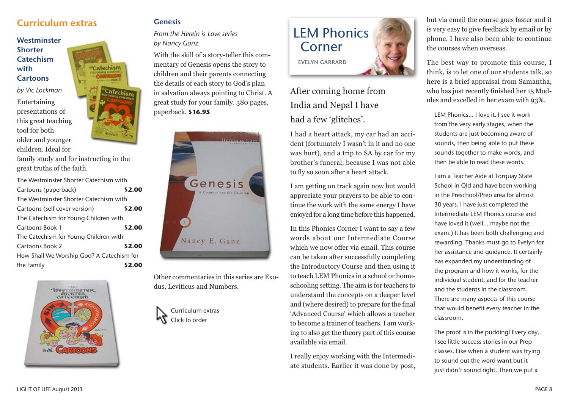# Curriculum extras

# **Westminster** Shorter **Catechism** with **Cartoons**

*by Vic Lockman* Entertaining presentations of this great teaching tool for both older and younger



children. Ideal for family study and for instructing in the great truths of the faith.

| The Westminster Shorter Catechism with    |        |  |
|-------------------------------------------|--------|--|
| Cartoons (paperback)                      | \$2.00 |  |
| The Westminster Shorter Catechism with    |        |  |
| Cartoons (self cover version)             | \$2.00 |  |
| The Catechism for Young Children with     |        |  |
| Cartoons Book 1                           | \$2.00 |  |
| The Catechism for Young Children with     |        |  |
| Cartoons Book 2                           | \$2.00 |  |
| How Shall We Worship God? A Catechism for |        |  |
| the Family                                | \$2.00 |  |



# Genesis

*From the Herein is Love series by Nancy Ganz*

With the skill of a story-teller this commentary of Genesis opens the story to children and their parents connecting the details of each story to God's plan in salvation always pointing to Christ. A great study for your family. 380 pages, paperback. **\$16.95**



Other commentaries in this series are Exodus, Leviticus and Numbers.



# LEM Phonics Corner Evelyn Garrard

After coming home from India and Nepal I have had a few 'glitches'.

I had a heart attack, my car had an accident (fortunately I wasn't in it and no one was hurt), and a trip to SA by car for my brother's funeral, because I was not able to fly so soon after a heart attack.

I am getting on track again now but would appreciate your prayers to be able to continue the work with the same energy I have enjoyed for a long time before this happened.

In this Phonics Corner I want to say a few words about our Intermediate Course which we now offer via email. This course can be taken after successfully completing the Introductory Course and then using it to teach LEM Phonics in a school or homeschooling setting. The aim is for teachers to understand the concepts on a deeper level and (where desired) to prepare for the final 'Advanced Course' which allows a teacher to become a trainer of teachers. I am working to also get the theory part of this course available via email.

I really enjoy working with the Intermediate students. Earlier it was done by post, but via email the course goes faster and it is very easy to give feedback by email or by phone. I have also been able to continue the courses when overseas.

The best way to promote this course, I think, is to let one of our students talk, so here is a brief appraisal from Samantha, who has just recently finished her 15 Modules and excelled in her exam with 93%.

LEM Phonics... I love it. I see it work from the very early stages, when the students are just becoming aware of sounds, then being able to put these sounds together to make words, and then be able to read these words.

I am a Teacher Aide at Torquay State School in Qld and have been working in the Preschool/Prep area for almost 30 years. I have just completed the Intermediate LEM Phonics course and have loved it (well... maybe not the exam.) It has been both challenging and rewarding. Thanks must go to Evelyn for her assistance and guidance. It certainly has expanded my understanding of the program and how it works, for the individual student, and for the teacher and the students in the classroom. There are many aspects of this course that would benefit every teacher in the classroom.

The proof is in the pudding! Every day, I see little success stories in our Prep classes. Like when a student was trying to sound out the word want but it just didn't sound right. Then we put a